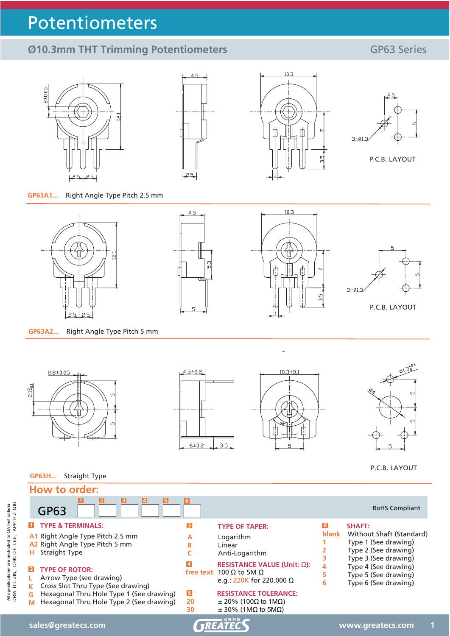# Potentiometers

## **Ø10.3mm THT Trimming Potentiometers** GP63 Series

P.C.B. LAYOUT



**GP63H...** Straight Type



 $3.5$ 

 $6 ± 0.2$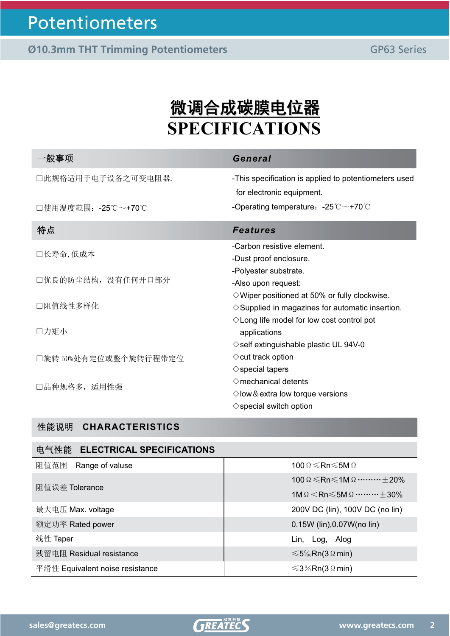# <u>微调合成碳膜电位器</u> **SPECIFICATIONS**

| General                                                                                                          |
|------------------------------------------------------------------------------------------------------------------|
| -This specification is applied to potentiometers used<br>for electronic equipment.                               |
| -Operating temperature: $-25^{\circ}\text{C} \sim +70^{\circ}\text{C}$                                           |
| <b>Features</b>                                                                                                  |
| -Carbon resistive element.<br>-Dust proof enclosure.                                                             |
| -Polyester substrate.<br>-Also upon request:<br>$\Diamond$ Wiper positioned at 50% or fully clockwise.           |
| $\diamond$ Supplied in magazines for automatic insertion.<br>$\diamond$ Long life model for low cost control pot |
| applications<br>$\diamond$ self extinguishable plastic UL 94V-0                                                  |
| $\diamond$ cut track option<br>$\diamond$ special tapers                                                         |
| $\diamond$ mechanical detents<br>$\Diamond$ low & extra low torque versions<br>$\diamond$ special switch option  |
|                                                                                                                  |

### ᙗ㜭䈤᰾ **CHARACTERISTICS**

#### ⭥≄ᙗ㜭 **ELECTRICAL SPECIFICATIONS**

| 阻值范围<br>Range of valuse         | 100 $\Omega \le Rn \le 5M \Omega$                                         |
|---------------------------------|---------------------------------------------------------------------------|
| 阻值误差 Tolerance                  | 100 $\Omega \le Rn \le 1$ M $\Omega$ $\pm$ 20%                            |
|                                 | 1M $\Omega$ $\leq$ Rn $\leq$ 5M $\Omega$ $\cdots$ $\cdots \cdots \pm$ 30% |
| 最大电压 Max. voltage               | 200V DC (lin), 100V DC (no lin)                                           |
| 额定功率 Rated power                | 0.15W (lin), 0.07W (no lin)                                               |
| 线性 Taper                        | Lin, Log, Alog                                                            |
| 残留电阻 Residual resistance        | $\leq 5\%$ Rn(3 Ω min)                                                    |
| 平滑性 Equivalent noise resistance | $\leq$ 3%Rn(3 Ω min)                                                      |

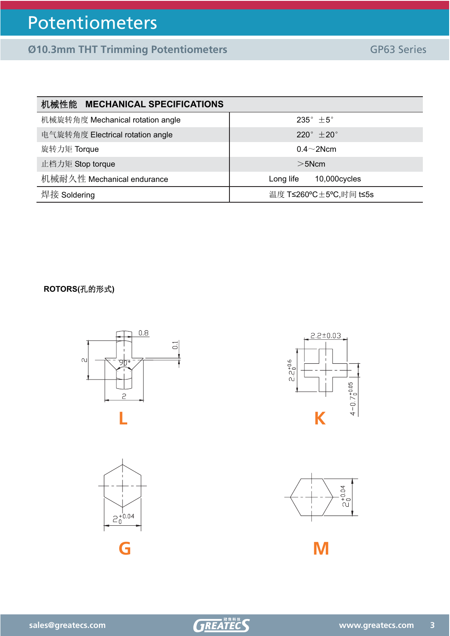## Potentiometers

**Ø10.3mm THT Trimming Potentiometers** GP63 Series

| 机械性能 MECHANICAL SPECIFICATIONS   |                                    |
|----------------------------------|------------------------------------|
| 机械旋转角度 Mechanical rotation angle | $235^{\circ}$ $\pm 5^{\circ}$      |
| 电气旋转角度 Electrical rotation angle | 220 $^{\circ}$ $\pm$ 20 $^{\circ}$ |
| 旋转力矩 Torque                      | $0.4 \sim 2$ Ncm                   |
| 止档力矩 Stop torque                 | $>5$ Ncm                           |
| 机械耐久性 Mechanical endurance       | 10,000cycles<br>Long life          |
| 焊接 Soldering                     | 温度 T≤260°C±5°C,时间 t≤5s             |

### **ROTORS(孔的形式)**